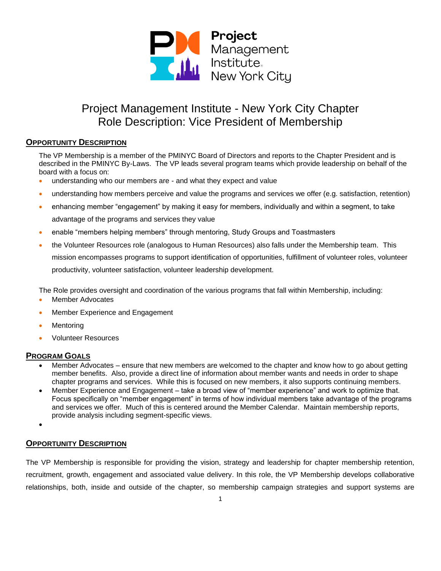

## **OPPORTUNITY DESCRIPTION**

The VP Membership is a member of the PMINYC Board of Directors and reports to the Chapter President and is described in the PMINYC By-Laws. The VP leads several program teams which provide leadership on behalf of the board with a focus on:

- understanding who our members are and what they expect and value
- understanding how members perceive and value the programs and services we offer (e.g. satisfaction, retention)
- enhancing member "engagement" by making it easy for members, individually and within a segment, to take advantage of the programs and services they value
- enable "members helping members" through mentoring, Study Groups and Toastmasters
- the Volunteer Resources role (analogous to Human Resources) also falls under the Membership team. This mission encompasses programs to support identification of opportunities, fulfillment of volunteer roles, volunteer productivity, volunteer satisfaction, volunteer leadership development.

The Role provides oversight and coordination of the various programs that fall within Membership, including:

- Member Advocates
- Member Experience and Engagement
- **Mentoring**
- Volunteer Resources

### **PROGRAM GOALS**

- Member Advocates ensure that new members are welcomed to the chapter and know how to go about getting member benefits. Also, provide a direct line of information about member wants and needs in order to shape chapter programs and services. While this is focused on new members, it also supports continuing members.
- Member Experience and Engagement take a broad view of "member experience" and work to optimize that. Focus specifically on "member engagement" in terms of how individual members take advantage of the programs and services we offer. Much of this is centered around the Member Calendar. Maintain membership reports, provide analysis including segment-specific views.

•

### **OPPORTUNITY DESCRIPTION**

The VP Membership is responsible for providing the vision, strategy and leadership for chapter membership retention, recruitment, growth, engagement and associated value delivery. In this role, the VP Membership develops collaborative relationships, both, inside and outside of the chapter, so membership campaign strategies and support systems are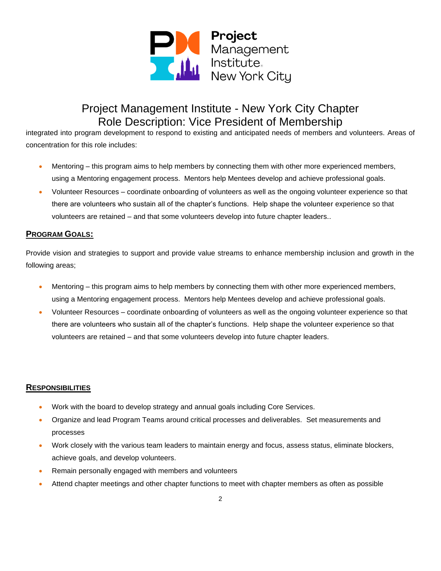

integrated into program development to respond to existing and anticipated needs of members and volunteers. Areas of concentration for this role includes:

- Mentoring this program aims to help members by connecting them with other more experienced members, using a Mentoring engagement process. Mentors help Mentees develop and achieve professional goals.
- Volunteer Resources coordinate onboarding of volunteers as well as the ongoing volunteer experience so that there are volunteers who sustain all of the chapter's functions. Help shape the volunteer experience so that volunteers are retained – and that some volunteers develop into future chapter leaders..

## **PROGRAM GOALS:**

Provide vision and strategies to support and provide value streams to enhance membership inclusion and growth in the following areas;

- Mentoring this program aims to help members by connecting them with other more experienced members, using a Mentoring engagement process. Mentors help Mentees develop and achieve professional goals.
- Volunteer Resources coordinate onboarding of volunteers as well as the ongoing volunteer experience so that there are volunteers who sustain all of the chapter's functions. Help shape the volunteer experience so that volunteers are retained – and that some volunteers develop into future chapter leaders.

### **RESPONSIBILITIES**

- Work with the board to develop strategy and annual goals including Core Services.
- Organize and lead Program Teams around critical processes and deliverables. Set measurements and processes
- Work closely with the various team leaders to maintain energy and focus, assess status, eliminate blockers, achieve goals, and develop volunteers.
- Remain personally engaged with members and volunteers
- Attend chapter meetings and other chapter functions to meet with chapter members as often as possible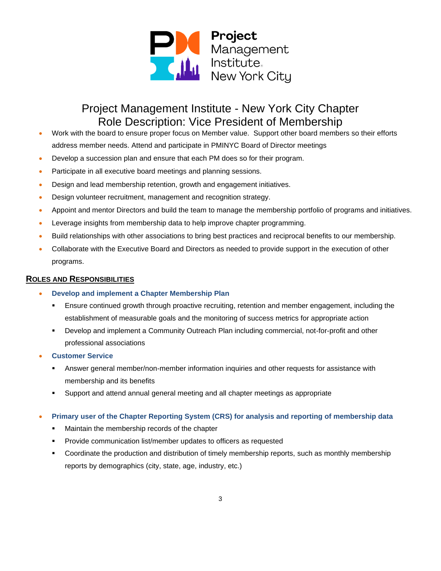

- Work with the board to ensure proper focus on Member value. Support other board members so their efforts address member needs. Attend and participate in PMINYC Board of Director meetings
- Develop a succession plan and ensure that each PM does so for their program.
- Participate in all executive board meetings and planning sessions.
- Design and lead membership retention, growth and engagement initiatives.
- Design volunteer recruitment, management and recognition strategy.
- Appoint and mentor Directors and build the team to manage the membership portfolio of programs and initiatives.
- Leverage insights from membership data to help improve chapter programming.
- Build relationships with other associations to bring best practices and reciprocal benefits to our membership.
- Collaborate with the Executive Board and Directors as needed to provide support in the execution of other programs.

#### **ROLES AND RESPONSIBILITIES**

- **Develop and implement a Chapter Membership Plan** 
	- Ensure continued growth through proactive recruiting, retention and member engagement, including the establishment of measurable goals and the monitoring of success metrics for appropriate action
	- Develop and implement a Community Outreach Plan including commercial, not-for-profit and other professional associations
- **Customer Service** 
	- Answer general member/non-member information inquiries and other requests for assistance with membership and its benefits
	- Support and attend annual general meeting and all chapter meetings as appropriate

#### • **Primary user of the Chapter Reporting System (CRS) for analysis and reporting of membership data**

- Maintain the membership records of the chapter
- Provide communication list/member updates to officers as requested
- Coordinate the production and distribution of timely membership reports, such as monthly membership reports by demographics (city, state, age, industry, etc.)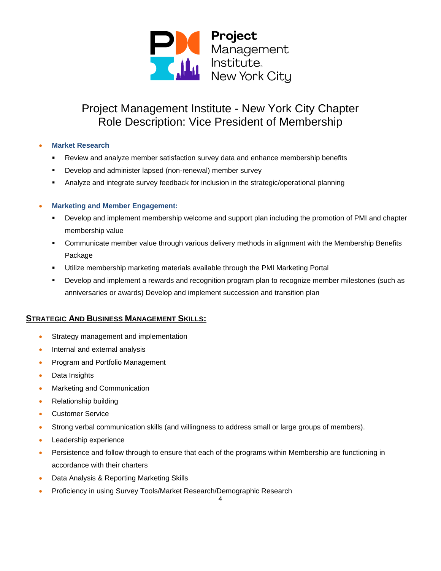

#### • **Market Research**

- Review and analyze member satisfaction survey data and enhance membership benefits
- Develop and administer lapsed (non-renewal) member survey
- Analyze and integrate survey feedback for inclusion in the strategic/operational planning

#### • **Marketing and Member Engagement:**

- **•** Develop and implement membership welcome and support plan including the promotion of PMI and chapter membership value
- Communicate member value through various delivery methods in alignment with the Membership Benefits Package
- Utilize membership marketing materials available through the PMI Marketing Portal
- Develop and implement a rewards and recognition program plan to recognize member milestones (such as anniversaries or awards) Develop and implement succession and transition plan

### **STRATEGIC AND BUSINESS MANAGEMENT SKILLS:**

- Strategy management and implementation
- Internal and external analysis
- Program and Portfolio Management
- Data Insights
- Marketing and Communication
- Relationship building
- Customer Service
- Strong verbal communication skills (and willingness to address small or large groups of members).
- Leadership experience
- Persistence and follow through to ensure that each of the programs within Membership are functioning in accordance with their charters
- Data Analysis & Reporting Marketing Skills
- Proficiency in using Survey Tools/Market Research/Demographic Research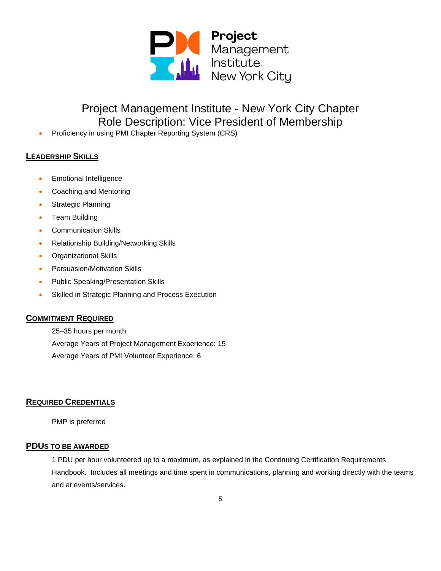

• Proficiency in using PMI Chapter Reporting System (CRS)

## **LEADERSHIP SKILLS**

- Emotional Intelligence
- Coaching and Mentoring
- Strategic Planning
- Team Building
- Communication Skills
- Relationship Building/Networking Skills
- Organizational Skills
- Persuasion/Motivation Skills
- Public Speaking/Presentation Skills
- Skilled in Strategic Planning and Process Execution

### **COMMITMENT REQUIRED**

25–35 hours per month Average Years of Project Management Experience: 15 Average Years of PMI Volunteer Experience: 6

## **REQUIRED CREDENTIALS**

PMP is preferred

#### **PDUS TO BE AWARDED**

1 PDU per hour volunteered up to a maximum, as explained in the [Continuing Certification Requirements](https://ccrs.pmi.org/info/handbooksguides)  [Handbook.](https://ccrs.pmi.org/info/handbooksguides) Includes all meetings and time spent in communications, planning and working directly with the teams and at events/services.